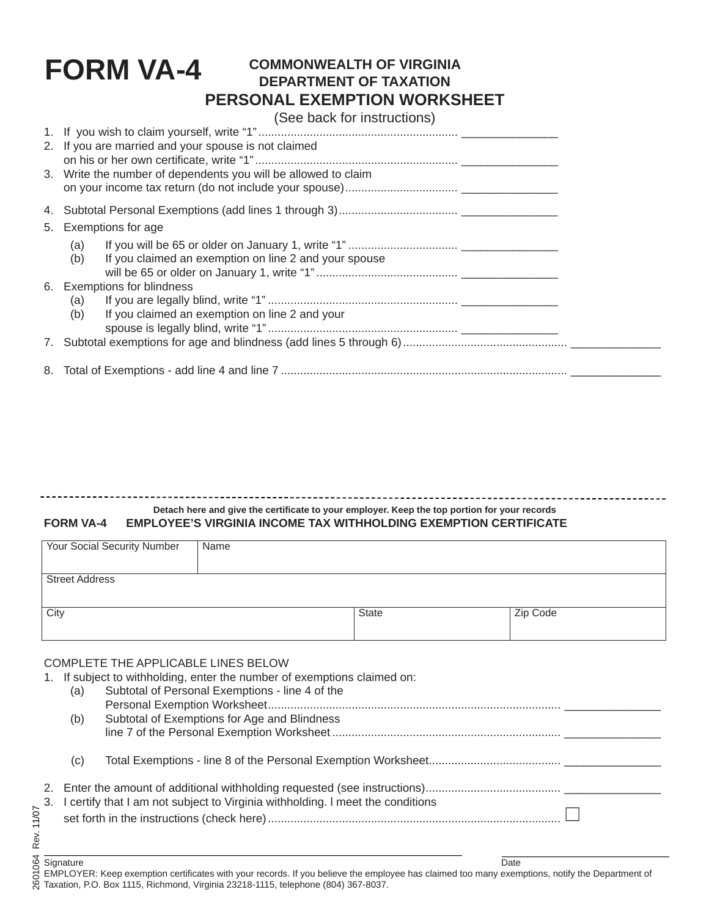# **FORM VA-4**

## **COMMONWEALTH OF VIRGINIA DEPARTMENT OF TAXATION PERSONAL EXEMPTION WORKSHEET**

(See back for instructions)

| 2. If you are married and your spouse is not claimed<br>3. Write the number of dependents you will be allowed to claim |                                                                     |  |  |  |  |  |
|------------------------------------------------------------------------------------------------------------------------|---------------------------------------------------------------------|--|--|--|--|--|
|                                                                                                                        |                                                                     |  |  |  |  |  |
|                                                                                                                        | 5. Exemptions for age                                               |  |  |  |  |  |
|                                                                                                                        | (a)<br>(b)<br>If you claimed an exemption on line 2 and your spouse |  |  |  |  |  |
|                                                                                                                        | 6. Exemptions for blindness<br>(a)                                  |  |  |  |  |  |
|                                                                                                                        | (b)<br>If you claimed an exemption on line 2 and your               |  |  |  |  |  |
|                                                                                                                        |                                                                     |  |  |  |  |  |
|                                                                                                                        |                                                                     |  |  |  |  |  |

## **Detach here and give the certifi cate to your employer. Keep the top portion for your records**

#### **FORM VA-4 EMPLOYEE'S VIRGINIA INCOME TAX WITHHOLDING EXEMPTION CERTIFICATE**

| <b>Your Social Security Number</b> | Name |              |          |
|------------------------------------|------|--------------|----------|
| <b>Street Address</b>              |      |              |          |
| City                               |      | <b>State</b> | Zip Code |

#### COMPLETE THE APPLICABLE LINES BELOW

|  |                                                                                   | 1. If subject to withholding, enter the number of exemptions claimed on: |  |  |  |  |
|--|-----------------------------------------------------------------------------------|--------------------------------------------------------------------------|--|--|--|--|
|  | (a)                                                                               | Subtotal of Personal Exemptions - line 4 of the                          |  |  |  |  |
|  |                                                                                   |                                                                          |  |  |  |  |
|  | (b)                                                                               | Subtotal of Exemptions for Age and Blindness                             |  |  |  |  |
|  |                                                                                   |                                                                          |  |  |  |  |
|  |                                                                                   |                                                                          |  |  |  |  |
|  | (C)                                                                               |                                                                          |  |  |  |  |
|  |                                                                                   |                                                                          |  |  |  |  |
|  |                                                                                   |                                                                          |  |  |  |  |
|  | 3. I certify that I am not subject to Virginia withholding. I meet the conditions |                                                                          |  |  |  |  |
|  |                                                                                   |                                                                          |  |  |  |  |
|  |                                                                                   |                                                                          |  |  |  |  |
|  |                                                                                   |                                                                          |  |  |  |  |

Signature **Date** EMPLOYER: Keep exemption certificates with your records. If you believe the employee has claimed too many exemptions, notify the Department of Taxation, P.O. Box 1115, Richmond, Virginia 23218-1115, telephone (804) 367-8037.